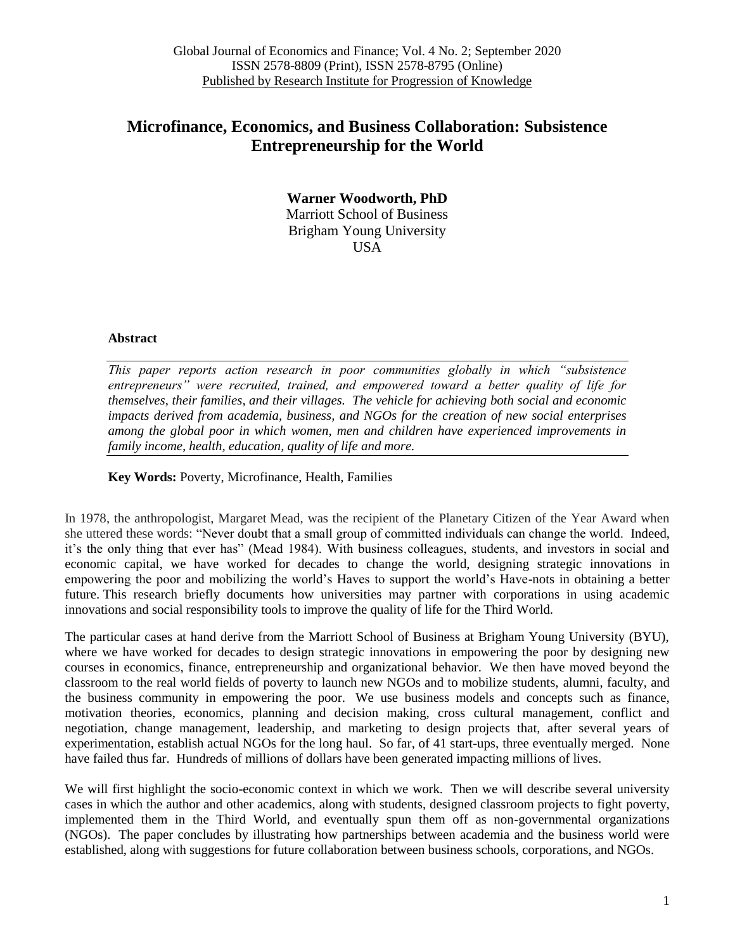# **Microfinance, Economics, and Business Collaboration: Subsistence Entrepreneurship for the World**

**Warner Woodworth, PhD** Marriott School of Business Brigham Young University USA

### **Abstract**

*This paper reports action research in poor communities globally in which "subsistence entrepreneurs" were recruited, trained, and empowered toward a better quality of life for themselves, their families, and their villages. The vehicle for achieving both social and economic impacts derived from academia, business, and NGOs for the creation of new social enterprises among the global poor in which women, men and children have experienced improvements in family income, health, education, quality of life and more.*

**Key Words:** Poverty, Microfinance, Health, Families

In 1978, the anthropologist, Margaret Mead, was the recipient of the Planetary Citizen of the Year Award when she uttered these words: "Never doubt that a small group of committed individuals can change the world. Indeed, it's the only thing that ever has" (Mead 1984). With business colleagues, students, and investors in social and economic capital, we have worked for decades to change the world, designing strategic innovations in empowering the poor and mobilizing the world"s Haves to support the world"s Have-nots in obtaining a better future. This research briefly documents how universities may partner with corporations in using academic innovations and social responsibility tools to improve the quality of life for the Third World.

The particular cases at hand derive from the Marriott School of Business at Brigham Young University (BYU), where we have worked for decades to design strategic innovations in empowering the poor by designing new courses in economics, finance, entrepreneurship and organizational behavior. We then have moved beyond the classroom to the real world fields of poverty to launch new NGOs and to mobilize students, alumni, faculty, and the business community in empowering the poor. We use business models and concepts such as finance, motivation theories, economics, planning and decision making, cross cultural management, conflict and negotiation, change management, leadership, and marketing to design projects that, after several years of experimentation, establish actual NGOs for the long haul. So far, of 41 start-ups, three eventually merged. None have failed thus far. Hundreds of millions of dollars have been generated impacting millions of lives.

We will first highlight the socio-economic context in which we work. Then we will describe several university cases in which the author and other academics, along with students, designed classroom projects to fight poverty, implemented them in the Third World, and eventually spun them off as non-governmental organizations (NGOs). The paper concludes by illustrating how partnerships between academia and the business world were established, along with suggestions for future collaboration between business schools, corporations, and NGOs.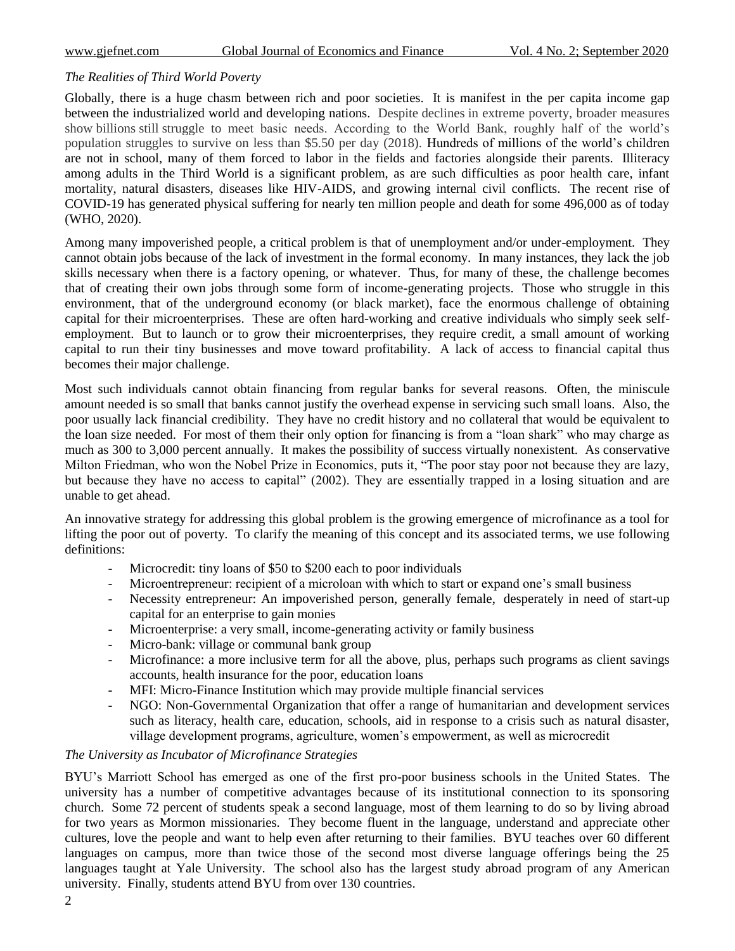### *The Realities of Third World Poverty*

Globally, there is a huge chasm between rich and poor societies. It is manifest in the per capita income gap between the industrialized world and developing nations. Despite declines in extreme poverty, broader measures show billions still struggle to meet basic needs. According to the World Bank, roughly half of the world"s population struggles to survive on less than \$5.50 per day (2018). Hundreds of millions of the world"s children are not in school, many of them forced to labor in the fields and factories alongside their parents. Illiteracy among adults in the Third World is a significant problem, as are such difficulties as poor health care, infant mortality, natural disasters, diseases like HIV-AIDS, and growing internal civil conflicts. The recent rise of COVID-19 has generated physical suffering for nearly ten million people and death for some 496,000 as of today (WHO, 2020).

Among many impoverished people, a critical problem is that of unemployment and/or under-employment. They cannot obtain jobs because of the lack of investment in the formal economy. In many instances, they lack the job skills necessary when there is a factory opening, or whatever. Thus, for many of these, the challenge becomes that of creating their own jobs through some form of income-generating projects. Those who struggle in this environment, that of the underground economy (or black market), face the enormous challenge of obtaining capital for their microenterprises. These are often hard-working and creative individuals who simply seek selfemployment. But to launch or to grow their microenterprises, they require credit, a small amount of working capital to run their tiny businesses and move toward profitability. A lack of access to financial capital thus becomes their major challenge.

Most such individuals cannot obtain financing from regular banks for several reasons. Often, the miniscule amount needed is so small that banks cannot justify the overhead expense in servicing such small loans. Also, the poor usually lack financial credibility. They have no credit history and no collateral that would be equivalent to the loan size needed. For most of them their only option for financing is from a "loan shark" who may charge as much as 300 to 3,000 percent annually. It makes the possibility of success virtually nonexistent. As conservative Milton Friedman, who won the Nobel Prize in Economics, puts it, "The poor stay poor not because they are lazy, but because they have no access to capital" (2002). They are essentially trapped in a losing situation and are unable to get ahead.

An innovative strategy for addressing this global problem is the growing emergence of microfinance as a tool for lifting the poor out of poverty. To clarify the meaning of this concept and its associated terms, we use following definitions:

- Microcredit: tiny loans of \$50 to \$200 each to poor individuals
- Microentrepreneur: recipient of a microloan with which to start or expand one's small business
- Necessity entrepreneur: An impoverished person, generally female, desperately in need of start-up capital for an enterprise to gain monies
- Microenterprise: a very small, income-generating activity or family business
- Micro-bank: village or communal bank group
- Microfinance: a more inclusive term for all the above, plus, perhaps such programs as client savings accounts, health insurance for the poor, education loans
- MFI: Micro-Finance Institution which may provide multiple financial services
- NGO: Non-Governmental Organization that offer a range of humanitarian and development services such as literacy, health care, education, schools, aid in response to a crisis such as natural disaster, village development programs, agriculture, women"s empowerment, as well as microcredit

## *The University as Incubator of Microfinance Strategies*

BYU"s Marriott School has emerged as one of the first pro-poor business schools in the United States. The university has a number of competitive advantages because of its institutional connection to its sponsoring church. Some 72 percent of students speak a second language, most of them learning to do so by living abroad for two years as Mormon missionaries. They become fluent in the language, understand and appreciate other cultures, love the people and want to help even after returning to their families. BYU teaches over 60 different languages on campus, more than twice those of the second most diverse language offerings being the 25 languages taught at Yale University. The school also has the largest study abroad program of any American university. Finally, students attend BYU from over 130 countries.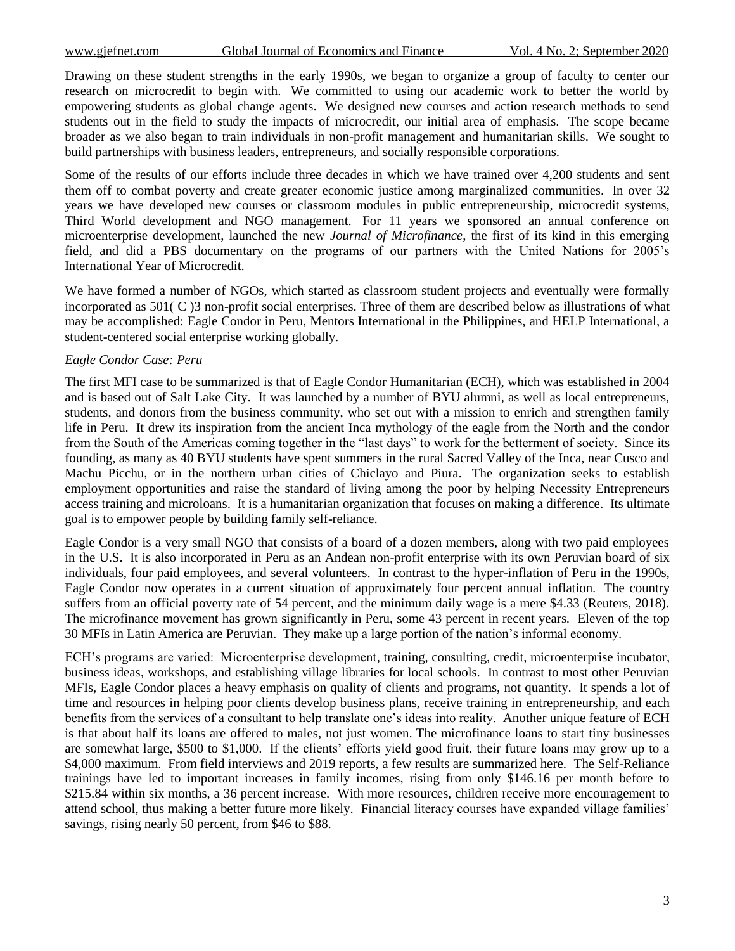Drawing on these student strengths in the early 1990s, we began to organize a group of faculty to center our research on microcredit to begin with. We committed to using our academic work to better the world by empowering students as global change agents. We designed new courses and action research methods to send students out in the field to study the impacts of microcredit, our initial area of emphasis. The scope became broader as we also began to train individuals in non-profit management and humanitarian skills. We sought to build partnerships with business leaders, entrepreneurs, and socially responsible corporations.

Some of the results of our efforts include three decades in which we have trained over 4,200 students and sent them off to combat poverty and create greater economic justice among marginalized communities. In over 32 years we have developed new courses or classroom modules in public entrepreneurship, microcredit systems, Third World development and NGO management. For 11 years we sponsored an annual conference on microenterprise development, launched the new *Journal of Microfinance*, the first of its kind in this emerging field, and did a PBS documentary on the programs of our partners with the United Nations for 2005"s International Year of Microcredit.

We have formed a number of NGOs, which started as classroom student projects and eventually were formally incorporated as 501( C )3 non-profit social enterprises. Three of them are described below as illustrations of what may be accomplished: Eagle Condor in Peru, Mentors International in the Philippines, and HELP International, a student-centered social enterprise working globally.

### *Eagle Condor Case: Peru*

The first MFI case to be summarized is that of Eagle Condor Humanitarian (ECH), which was established in 2004 and is based out of Salt Lake City. It was launched by a number of BYU alumni, as well as local entrepreneurs, students, and donors from the business community, who set out with a mission to enrich and strengthen family life in Peru. It drew its inspiration from the ancient Inca mythology of the eagle from the North and the condor from the South of the Americas coming together in the "last days" to work for the betterment of society. Since its founding, as many as 40 BYU students have spent summers in the rural Sacred Valley of the Inca, near Cusco and Machu Picchu, or in the northern urban cities of Chiclayo and Piura. The organization seeks to establish employment opportunities and raise the standard of living among the poor by helping Necessity Entrepreneurs access training and microloans. It is a humanitarian organization that focuses on making a difference. Its ultimate goal is to empower people by building family self-reliance.

Eagle Condor is a very small NGO that consists of a board of a dozen members, along with two paid employees in the U.S. It is also incorporated in Peru as an Andean non-profit enterprise with its own Peruvian board of six individuals, four paid employees, and several volunteers. In contrast to the hyper-inflation of Peru in the 1990s, Eagle Condor now operates in a current situation of approximately four percent annual inflation. The country suffers from an official poverty rate of 54 percent, and the minimum daily wage is a mere \$4.33 (Reuters, 2018). The microfinance movement has grown significantly in Peru, some 43 percent in recent years. Eleven of the top 30 MFIs in Latin America are Peruvian. They make up a large portion of the nation"s informal economy.

ECH"s programs are varied: Microenterprise development, training, consulting, credit, microenterprise incubator, business ideas, workshops, and establishing village libraries for local schools. In contrast to most other Peruvian MFIs, Eagle Condor places a heavy emphasis on quality of clients and programs, not quantity. It spends a lot of time and resources in helping poor clients develop business plans, receive training in entrepreneurship, and each benefits from the services of a consultant to help translate one"s ideas into reality. Another unique feature of ECH is that about half its loans are offered to males, not just women. The microfinance loans to start tiny businesses are somewhat large, \$500 to \$1,000. If the clients" efforts yield good fruit, their future loans may grow up to a \$4,000 maximum. From field interviews and 2019 reports, a few results are summarized here. The Self-Reliance trainings have led to important increases in family incomes, rising from only \$146.16 per month before to \$215.84 within six months, a 36 percent increase. With more resources, children receive more encouragement to attend school, thus making a better future more likely. Financial literacy courses have expanded village families" savings, rising nearly 50 percent, from \$46 to \$88.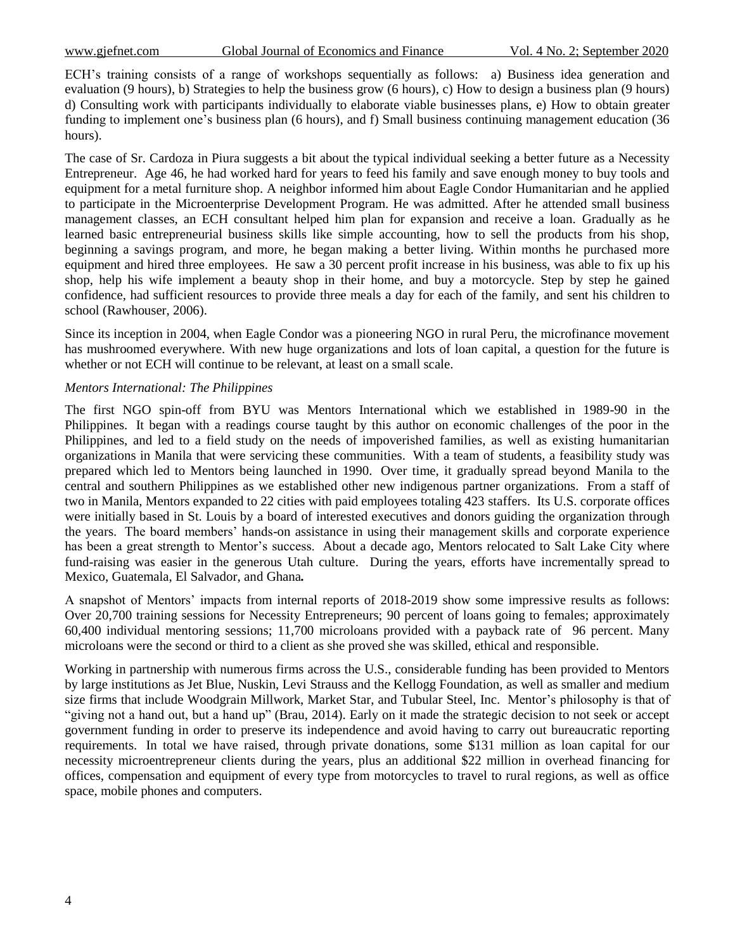ECH's training consists of a range of workshops sequentially as follows: a) Business idea generation and evaluation (9 hours), b) Strategies to help the business grow (6 hours), c) How to design a business plan (9 hours) d) Consulting work with participants individually to elaborate viable businesses plans, e) How to obtain greater funding to implement one's business plan (6 hours), and f) Small business continuing management education (36 hours).

The case of Sr. Cardoza in Piura suggests a bit about the typical individual seeking a better future as a Necessity Entrepreneur. Age 46, he had worked hard for years to feed his family and save enough money to buy tools and equipment for a metal furniture shop. A neighbor informed him about Eagle Condor Humanitarian and he applied to participate in the Microenterprise Development Program. He was admitted. After he attended small business management classes, an ECH consultant helped him plan for expansion and receive a loan. Gradually as he learned basic entrepreneurial business skills like simple accounting, how to sell the products from his shop, beginning a savings program, and more, he began making a better living. Within months he purchased more equipment and hired three employees. He saw a 30 percent profit increase in his business, was able to fix up his shop, help his wife implement a beauty shop in their home, and buy a motorcycle. Step by step he gained confidence, had sufficient resources to provide three meals a day for each of the family, and sent his children to school (Rawhouser, 2006).

Since its inception in 2004, when Eagle Condor was a pioneering NGO in rural Peru, the microfinance movement has mushroomed everywhere. With new huge organizations and lots of loan capital, a question for the future is whether or not ECH will continue to be relevant, at least on a small scale.

### *Mentors International: The Philippines*

The first NGO spin-off from BYU was Mentors International which we established in 1989-90 in the Philippines. It began with a readings course taught by this author on economic challenges of the poor in the Philippines, and led to a field study on the needs of impoverished families, as well as existing humanitarian organizations in Manila that were servicing these communities. With a team of students, a feasibility study was prepared which led to Mentors being launched in 1990. Over time, it gradually spread beyond Manila to the central and southern Philippines as we established other new indigenous partner organizations. From a staff of two in Manila, Mentors expanded to 22 cities with paid employees totaling 423 staffers. Its U.S. corporate offices were initially based in St. Louis by a board of interested executives and donors guiding the organization through the years. The board members" hands-on assistance in using their management skills and corporate experience has been a great strength to Mentor's success. About a decade ago, Mentors relocated to Salt Lake City where fund-raising was easier in the generous Utah culture. During the years, efforts have incrementally spread to Mexico, Guatemala, El Salvador, and Ghana*.*

A snapshot of Mentors" impacts from internal reports of 2018-2019 show some impressive results as follows: Over 20,700 training sessions for Necessity Entrepreneurs; 90 percent of loans going to females; approximately 60,400 individual mentoring sessions; 11,700 microloans provided with a payback rate of 96 percent. Many microloans were the second or third to a client as she proved she was skilled, ethical and responsible.

Working in partnership with numerous firms across the U.S., considerable funding has been provided to Mentors by large institutions as Jet Blue, Nuskin, Levi Strauss and the Kellogg Foundation, as well as smaller and medium size firms that include Woodgrain Millwork, Market Star, and Tubular Steel, Inc. Mentor"s philosophy is that of "giving not a hand out, but a hand up" (Brau, 2014). Early on it made the strategic decision to not seek or accept government funding in order to preserve its independence and avoid having to carry out bureaucratic reporting requirements. In total we have raised, through private donations, some \$131 million as loan capital for our necessity microentrepreneur clients during the years, plus an additional \$22 million in overhead financing for offices, compensation and equipment of every type from motorcycles to travel to rural regions, as well as office space, mobile phones and computers.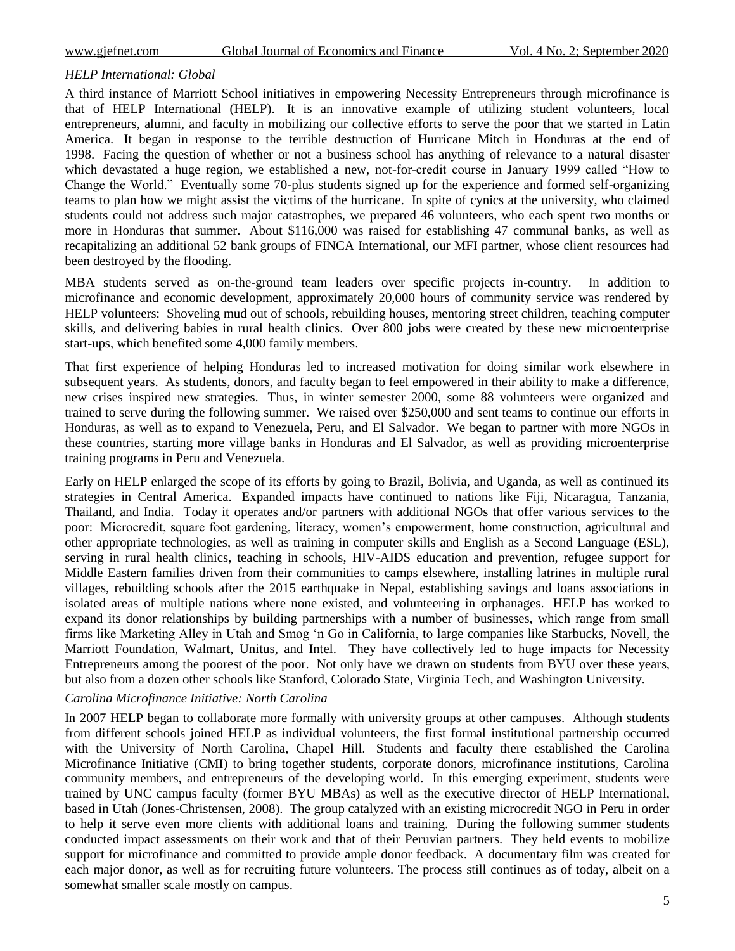### *HELP International: Global*

A third instance of Marriott School initiatives in empowering Necessity Entrepreneurs through microfinance is that of HELP International (HELP). It is an innovative example of utilizing student volunteers, local entrepreneurs, alumni, and faculty in mobilizing our collective efforts to serve the poor that we started in Latin America. It began in response to the terrible destruction of Hurricane Mitch in Honduras at the end of 1998. Facing the question of whether or not a business school has anything of relevance to a natural disaster which devastated a huge region, we established a new, not-for-credit course in January 1999 called "How to Change the World." Eventually some 70-plus students signed up for the experience and formed self-organizing teams to plan how we might assist the victims of the hurricane. In spite of cynics at the university, who claimed students could not address such major catastrophes, we prepared 46 volunteers, who each spent two months or more in Honduras that summer. About \$116,000 was raised for establishing 47 communal banks, as well as recapitalizing an additional 52 bank groups of FINCA International, our MFI partner, whose client resources had been destroyed by the flooding.

MBA students served as on-the-ground team leaders over specific projects in-country. In addition to microfinance and economic development, approximately 20,000 hours of community service was rendered by HELP volunteers: Shoveling mud out of schools, rebuilding houses, mentoring street children, teaching computer skills, and delivering babies in rural health clinics. Over 800 jobs were created by these new microenterprise start-ups, which benefited some 4,000 family members.

That first experience of helping Honduras led to increased motivation for doing similar work elsewhere in subsequent years. As students, donors, and faculty began to feel empowered in their ability to make a difference, new crises inspired new strategies. Thus, in winter semester 2000, some 88 volunteers were organized and trained to serve during the following summer. We raised over \$250,000 and sent teams to continue our efforts in Honduras, as well as to expand to Venezuela, Peru, and El Salvador. We began to partner with more NGOs in these countries, starting more village banks in Honduras and El Salvador, as well as providing microenterprise training programs in Peru and Venezuela.

Early on HELP enlarged the scope of its efforts by going to Brazil, Bolivia, and Uganda, as well as continued its strategies in Central America. Expanded impacts have continued to nations like Fiji, Nicaragua, Tanzania, Thailand, and India. Today it operates and/or partners with additional NGOs that offer various services to the poor: Microcredit, square foot gardening, literacy, women"s empowerment, home construction, agricultural and other appropriate technologies, as well as training in computer skills and English as a Second Language (ESL), serving in rural health clinics, teaching in schools, HIV-AIDS education and prevention, refugee support for Middle Eastern families driven from their communities to camps elsewhere, installing latrines in multiple rural villages, rebuilding schools after the 2015 earthquake in Nepal, establishing savings and loans associations in isolated areas of multiple nations where none existed, and volunteering in orphanages. HELP has worked to expand its donor relationships by building partnerships with a number of businesses, which range from small firms like Marketing Alley in Utah and Smog "n Go in California, to large companies like Starbucks, Novell, the Marriott Foundation, Walmart, Unitus, and Intel. They have collectively led to huge impacts for Necessity Entrepreneurs among the poorest of the poor. Not only have we drawn on students from BYU over these years, but also from a dozen other schools like Stanford, Colorado State, Virginia Tech, and Washington University.

### *Carolina Microfinance Initiative: North Carolina*

In 2007 HELP began to collaborate more formally with university groups at other campuses. Although students from different schools joined HELP as individual volunteers, the first formal institutional partnership occurred with the University of North Carolina, Chapel Hill. Students and faculty there established the Carolina Microfinance Initiative (CMI) to bring together students, corporate donors, microfinance institutions, Carolina community members, and entrepreneurs of the developing world. In this emerging experiment, students were trained by UNC campus faculty (former BYU MBAs) as well as the executive director of HELP International, based in Utah (Jones-Christensen, 2008). The group catalyzed with an existing microcredit NGO in Peru in order to help it serve even more clients with additional loans and training. During the following summer students conducted impact assessments on their work and that of their Peruvian partners. They held events to mobilize support for microfinance and committed to provide ample donor feedback. A documentary film was created for each major donor, as well as for recruiting future volunteers. The process still continues as of today, albeit on a somewhat smaller scale mostly on campus.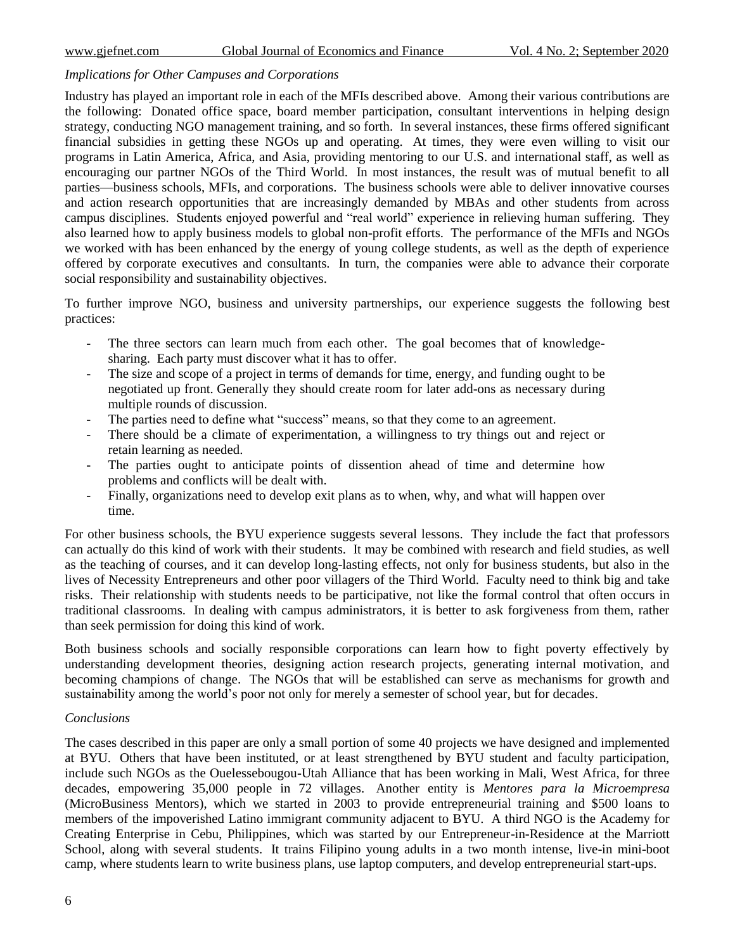### *Implications for Other Campuses and Corporations*

Industry has played an important role in each of the MFIs described above. Among their various contributions are the following: Donated office space, board member participation, consultant interventions in helping design strategy, conducting NGO management training, and so forth. In several instances, these firms offered significant financial subsidies in getting these NGOs up and operating. At times, they were even willing to visit our programs in Latin America, Africa, and Asia, providing mentoring to our U.S. and international staff, as well as encouraging our partner NGOs of the Third World. In most instances, the result was of mutual benefit to all parties—business schools, MFIs, and corporations. The business schools were able to deliver innovative courses and action research opportunities that are increasingly demanded by MBAs and other students from across campus disciplines. Students enjoyed powerful and "real world" experience in relieving human suffering. They also learned how to apply business models to global non-profit efforts. The performance of the MFIs and NGOs we worked with has been enhanced by the energy of young college students, as well as the depth of experience offered by corporate executives and consultants. In turn, the companies were able to advance their corporate social responsibility and sustainability objectives.

To further improve NGO, business and university partnerships, our experience suggests the following best practices:

- The three sectors can learn much from each other. The goal becomes that of knowledgesharing. Each party must discover what it has to offer.
- The size and scope of a project in terms of demands for time, energy, and funding ought to be negotiated up front. Generally they should create room for later add-ons as necessary during multiple rounds of discussion.
- The parties need to define what "success" means, so that they come to an agreement.
- There should be a climate of experimentation, a willingness to try things out and reject or retain learning as needed.
- The parties ought to anticipate points of dissention ahead of time and determine how problems and conflicts will be dealt with.
- Finally, organizations need to develop exit plans as to when, why, and what will happen over time.

For other business schools, the BYU experience suggests several lessons. They include the fact that professors can actually do this kind of work with their students. It may be combined with research and field studies, as well as the teaching of courses, and it can develop long-lasting effects, not only for business students, but also in the lives of Necessity Entrepreneurs and other poor villagers of the Third World. Faculty need to think big and take risks. Their relationship with students needs to be participative, not like the formal control that often occurs in traditional classrooms. In dealing with campus administrators, it is better to ask forgiveness from them, rather than seek permission for doing this kind of work.

Both business schools and socially responsible corporations can learn how to fight poverty effectively by understanding development theories, designing action research projects, generating internal motivation, and becoming champions of change. The NGOs that will be established can serve as mechanisms for growth and sustainability among the world's poor not only for merely a semester of school year, but for decades.

### *Conclusions*

The cases described in this paper are only a small portion of some 40 projects we have designed and implemented at BYU. Others that have been instituted, or at least strengthened by BYU student and faculty participation, include such NGOs as the Ouelessebougou-Utah Alliance that has been working in Mali, West Africa, for three decades, empowering 35,000 people in 72 villages. Another entity is *Mentores para la Microempresa* (MicroBusiness Mentors), which we started in 2003 to provide entrepreneurial training and \$500 loans to members of the impoverished Latino immigrant community adjacent to BYU. A third NGO is the Academy for Creating Enterprise in Cebu, Philippines, which was started by our Entrepreneur-in-Residence at the Marriott School, along with several students. It trains Filipino young adults in a two month intense, live-in mini-boot camp, where students learn to write business plans, use laptop computers, and develop entrepreneurial start-ups.